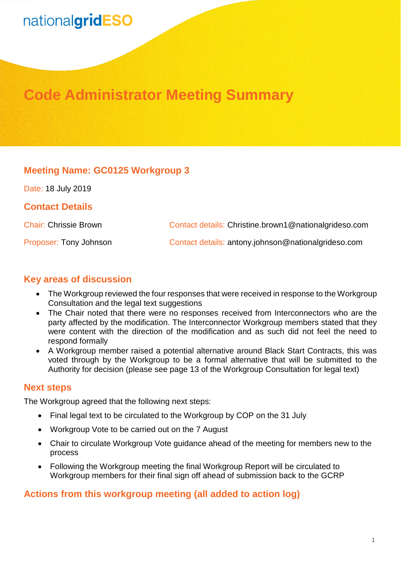# nationalgridESO

## **Code Administrator Meeting Summary**

### **Meeting Name: GC0125 Workgroup 3**

Date: 18 July 2019

#### **Contact Details**

| <b>Chair: Chrissie Brown</b> | Contact details: Christine.brown1@nationalgrideso.com |
|------------------------------|-------------------------------------------------------|
| Proposer: Tony Johnson       | Contact details: antony.johnson@nationalgrideso.com   |

### **Key areas of discussion**

- The Workgroup reviewed the four responses that were received in response to the Workgroup Consultation and the legal text suggestions
- The Chair noted that there were no responses received from Interconnectors who are the party affected by the modification. The Interconnector Workgroup members stated that they were content with the direction of the modification and as such did not feel the need to respond formally
- A Workgroup member raised a potential alternative around Black Start Contracts, this was voted through by the Workgroup to be a formal alternative that will be submitted to the Authority for decision (please see page 13 of the Workgroup Consultation for legal text)

#### **Next steps**

The Workgroup agreed that the following next steps:

- Final legal text to be circulated to the Workgroup by COP on the 31 July
- Workgroup Vote to be carried out on the 7 August
- Chair to circulate Workgroup Vote guidance ahead of the meeting for members new to the process
- Following the Workgroup meeting the final Workgroup Report will be circulated to Workgroup members for their final sign off ahead of submission back to the GCRP

### **Actions from this workgroup meeting (all added to action log)**